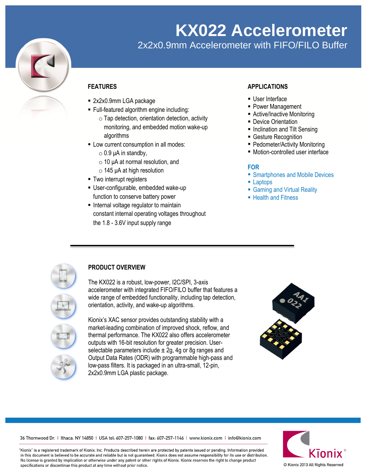

# **KX022 Accelerometer**

2x2x0.9mm Accelerometer with FIFO/FILO Buffer

## **FEATURES**

- 2x2x0.9mm LGA package
- Full-featured algorithm engine including:
	- $\circ$  Tap detection, orientation detection, activity monitoring, and embedded motion wake-up algorithms
- **-** Low current consumption in all modes:
	- $\circ$  0.9 μA in standby,
	- $\circ$  10 μA at normal resolution, and
	- $\circ$  145 μA at high resolution
- **Two interrupt registers**
- User-configurable, embedded wake-up function to conserve battery power
- **Internal voltage regulator to maintain** constant internal operating voltages throughout the 1.8 - 3.6V input supply range

### **APPLICATIONS**

- User Interface
- Power Management
- Active/Inactive Monitoring
- **Device Orientation**
- Inclination and Tilt Sensing
- **Gesture Recognition**
- Pedometer/Activity Monitoring
- Motion-controlled user interface

#### **FOR**

- **Smartphones and Mobile Devices**
- **Laptops**
- Gaming and Virtual Reality
- Health and Fitness



## **PRODUCT OVERVIEW**

The KX022 is a robust, low-power, I2C/SPI, 3-axis accelerometer with integrated FIFO/FILO buffer that features a wide range of embedded functionality, including tap detection, orientation, activity, and wake-up algorithms.

Kionix's XAC sensor provides outstanding stability with a market-leading combination of improved shock, reflow, and thermal performance. The KX022 also offers accelerometer outputs with 16-bit resolution for greater precision. Userselectable parameters include  $\pm$  2g, 4g or 8g ranges and Output Data Rates (ODR) with programmable high-pass and low-pass filters. It is packaged in an ultra-small, 12-pin, 2x2x0.9mm LGA plastic package.



36 Thornwood Dr. | Ithaca, NY 14850 | USA tel: 607-257-1080 | fax: 607-257-1146 | www.kionix.com | info@kionix.com

"Kionix" is a registered trademark of Kionix, Inc. Products described herein are protected by patents issued or pending. Information provided in this document is believed to be accurate and reliable but is not guaranteed. Kionix does not assume responsibility for its use or distribution. No license is granted by implication or otherwise under any patent or other rights of Kionix. Kionix reserves the right to change product specifications or discontinue this product at any time without prior notice.